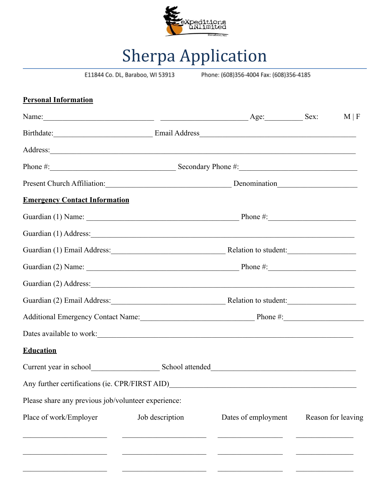

## Sherpa Application

E11844 Co. DL, Baraboo, WI 53913

Phone: (608)356-4004 Fax: (608)356-4185

| <b>Personal Information</b>                          |                 |                     |                    |
|------------------------------------------------------|-----------------|---------------------|--------------------|
| Name: Sex: Sex:                                      |                 |                     | $M \mid F$         |
| Birthdate: Email Address Email Address               |                 |                     |                    |
|                                                      |                 |                     |                    |
| Phone $\#$ : Secondary Phone $\#$ :                  |                 |                     |                    |
|                                                      |                 |                     |                    |
| <b>Emergency Contact Information</b>                 |                 |                     |                    |
|                                                      |                 |                     |                    |
|                                                      |                 |                     |                    |
|                                                      |                 |                     |                    |
|                                                      |                 |                     |                    |
|                                                      |                 |                     |                    |
|                                                      |                 |                     |                    |
| Additional Emergency Contact Name: Phone #: Phone #: |                 |                     |                    |
|                                                      |                 |                     |                    |
| <b>Education</b>                                     |                 |                     |                    |
|                                                      |                 |                     |                    |
| Any further certifications (ie. CPR/FIRST AID)       |                 |                     |                    |
| Please share any previous job/volunteer experience:  |                 |                     |                    |
| Place of work/Employer                               | Job description | Dates of employment | Reason for leaving |
|                                                      |                 |                     |                    |
|                                                      |                 |                     |                    |
|                                                      |                 |                     |                    |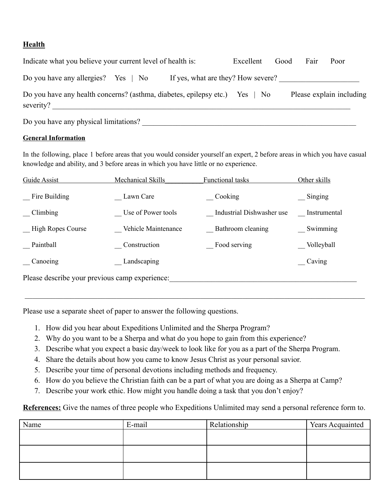## **Health**

| Indicate what you believe your current level of health is:                      | Excellent                          | Good | Fair | Poor                     |  |
|---------------------------------------------------------------------------------|------------------------------------|------|------|--------------------------|--|
| Do you have any allergies? Yes $\parallel$ No                                   | If yes, what are they? How severe? |      |      |                          |  |
| Do you have any health concerns? (asthma, diabetes, epilepsy etc.)<br>severity? | $Yes \mid No$                      |      |      | Please explain including |  |
| Do you have any physical limitations?                                           |                                    |      |      |                          |  |

## **General Information**

In the following, place 1 before areas that you would consider yourself an expert, 2 before areas in which you have casual knowledge and ability, and 3 before areas in which you have little or no experience.

| Guide Assist                                   | <b>Mechanical Skills</b> | <b>Functional tasks</b>   | Other skills |  |
|------------------------------------------------|--------------------------|---------------------------|--------------|--|
| Fire Building                                  | Lawn Care                | Cooking                   | Singing      |  |
| Climbing                                       | Use of Power tools       | Industrial Dishwasher use | Instrumental |  |
| <b>High Ropes Course</b>                       | Vehicle Maintenance      | Bathroom cleaning         | Swimming     |  |
| Paintball                                      | Construction             | Food serving              | Volleyball   |  |
| Canoeing                                       | Landscaping              |                           | Caving       |  |
| Please describe your previous camp experience: |                          |                           |              |  |

Please use a separate sheet of paper to answer the following questions.

- 1. How did you hear about Expeditions Unlimited and the Sherpa Program?
- 2. Why do you want to be a Sherpa and what do you hope to gain from this experience?
- 3. Describe what you expect a basic day/week to look like for you as a part of the Sherpa Program.

 $\mathcal{L}_\mathcal{L} = \mathcal{L}_\mathcal{L} = \mathcal{L}_\mathcal{L} = \mathcal{L}_\mathcal{L} = \mathcal{L}_\mathcal{L} = \mathcal{L}_\mathcal{L} = \mathcal{L}_\mathcal{L} = \mathcal{L}_\mathcal{L} = \mathcal{L}_\mathcal{L} = \mathcal{L}_\mathcal{L} = \mathcal{L}_\mathcal{L} = \mathcal{L}_\mathcal{L} = \mathcal{L}_\mathcal{L} = \mathcal{L}_\mathcal{L} = \mathcal{L}_\mathcal{L} = \mathcal{L}_\mathcal{L} = \mathcal{L}_\mathcal{L}$ 

- 4. Share the details about how you came to know Jesus Christ as your personal savior.
- 5. Describe your time of personal devotions including methods and frequency.
- 6. How do you believe the Christian faith can be a part of what you are doing as a Sherpa at Camp?
- 7. Describe your work ethic. How might you handle doing a task that you don't enjoy?

**References:** Give the names of three people who Expeditions Unlimited may send a personal reference form to.

| Name | E-mail | Relationship | <b>Years Acquainted</b> |
|------|--------|--------------|-------------------------|
|      |        |              |                         |
|      |        |              |                         |
|      |        |              |                         |
|      |        |              |                         |
|      |        |              |                         |